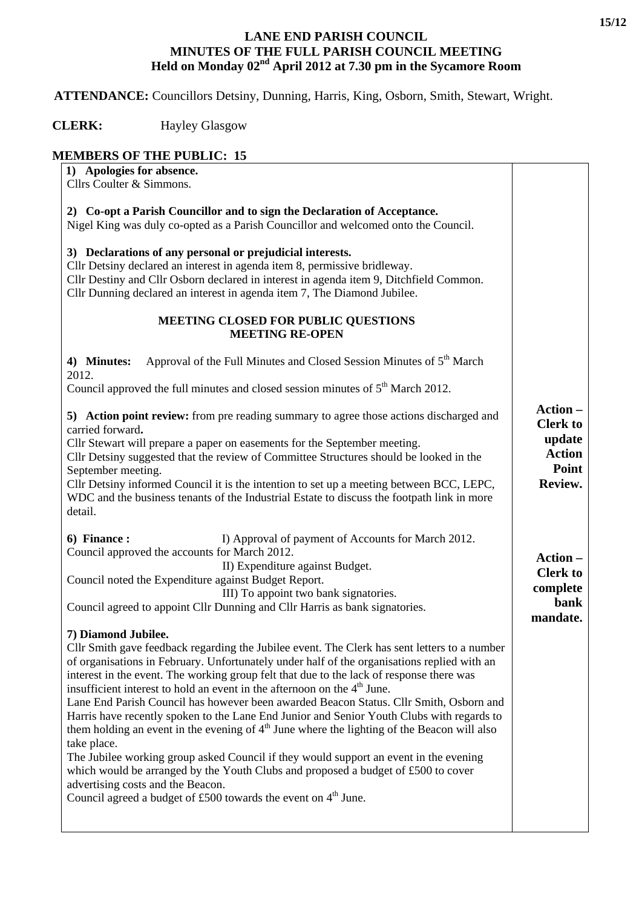## **LANE END PARISH COUNCIL MINUTES OF THE FULL PARISH COUNCIL MEETING Held on Monday 02nd April 2012 at 7.30 pm in the Sycamore Room**

 **ATTENDANCE:** Councillors Detsiny, Dunning, Harris, King, Osborn, Smith, Stewart, Wright.

 **CLERK:** Hayley Glasgow

## **MEMBERS OF THE PUBLIC: 15**

| 1) Apologies for absence.<br>Cllrs Coulter & Simmons.                                                                                                                                                                                                                                                                                                                                                                                                                                                                                                                                                                                                                                                                                                                                                                                                                                                                                                                                      |                                                                |
|--------------------------------------------------------------------------------------------------------------------------------------------------------------------------------------------------------------------------------------------------------------------------------------------------------------------------------------------------------------------------------------------------------------------------------------------------------------------------------------------------------------------------------------------------------------------------------------------------------------------------------------------------------------------------------------------------------------------------------------------------------------------------------------------------------------------------------------------------------------------------------------------------------------------------------------------------------------------------------------------|----------------------------------------------------------------|
| 2) Co-opt a Parish Councillor and to sign the Declaration of Acceptance.                                                                                                                                                                                                                                                                                                                                                                                                                                                                                                                                                                                                                                                                                                                                                                                                                                                                                                                   |                                                                |
| Nigel King was duly co-opted as a Parish Councillor and welcomed onto the Council.                                                                                                                                                                                                                                                                                                                                                                                                                                                                                                                                                                                                                                                                                                                                                                                                                                                                                                         |                                                                |
| 3) Declarations of any personal or prejudicial interests.<br>Cllr Detsiny declared an interest in agenda item 8, permissive bridleway.<br>Cllr Destiny and Cllr Osborn declared in interest in agenda item 9, Ditchfield Common.<br>Cllr Dunning declared an interest in agenda item 7, The Diamond Jubilee.                                                                                                                                                                                                                                                                                                                                                                                                                                                                                                                                                                                                                                                                               |                                                                |
| MEETING CLOSED FOR PUBLIC QUESTIONS<br><b>MEETING RE-OPEN</b>                                                                                                                                                                                                                                                                                                                                                                                                                                                                                                                                                                                                                                                                                                                                                                                                                                                                                                                              |                                                                |
| Approval of the Full Minutes and Closed Session Minutes of 5 <sup>th</sup> March<br>4) Minutes:<br>2012.                                                                                                                                                                                                                                                                                                                                                                                                                                                                                                                                                                                                                                                                                                                                                                                                                                                                                   |                                                                |
| Council approved the full minutes and closed session minutes of 5 <sup>th</sup> March 2012.                                                                                                                                                                                                                                                                                                                                                                                                                                                                                                                                                                                                                                                                                                                                                                                                                                                                                                |                                                                |
| 5) Action point review: from pre reading summary to agree those actions discharged and<br>carried forward.<br>Cllr Stewart will prepare a paper on easements for the September meeting.<br>Cllr Detsiny suggested that the review of Committee Structures should be looked in the<br>September meeting.                                                                                                                                                                                                                                                                                                                                                                                                                                                                                                                                                                                                                                                                                    | Action-<br><b>Clerk to</b><br>update<br><b>Action</b><br>Point |
| Cllr Detsiny informed Council it is the intention to set up a meeting between BCC, LEPC,<br>WDC and the business tenants of the Industrial Estate to discuss the footpath link in more<br>detail.                                                                                                                                                                                                                                                                                                                                                                                                                                                                                                                                                                                                                                                                                                                                                                                          | Review.                                                        |
| 6) Finance:<br>I) Approval of payment of Accounts for March 2012.<br>Council approved the accounts for March 2012.                                                                                                                                                                                                                                                                                                                                                                                                                                                                                                                                                                                                                                                                                                                                                                                                                                                                         | Action -                                                       |
| II) Expenditure against Budget.                                                                                                                                                                                                                                                                                                                                                                                                                                                                                                                                                                                                                                                                                                                                                                                                                                                                                                                                                            | <b>Clerk to</b>                                                |
| Council noted the Expenditure against Budget Report.<br>III) To appoint two bank signatories.                                                                                                                                                                                                                                                                                                                                                                                                                                                                                                                                                                                                                                                                                                                                                                                                                                                                                              | complete                                                       |
| Council agreed to appoint Cllr Dunning and Cllr Harris as bank signatories.                                                                                                                                                                                                                                                                                                                                                                                                                                                                                                                                                                                                                                                                                                                                                                                                                                                                                                                | bank<br>mandate.                                               |
| 7) Diamond Jubilee.<br>Cllr Smith gave feedback regarding the Jubilee event. The Clerk has sent letters to a number<br>of organisations in February. Unfortunately under half of the organisations replied with an<br>interest in the event. The working group felt that due to the lack of response there was<br>insufficient interest to hold an event in the afternoon on the $4th$ June.<br>Lane End Parish Council has however been awarded Beacon Status. Cllr Smith, Osborn and<br>Harris have recently spoken to the Lane End Junior and Senior Youth Clubs with regards to<br>them holding an event in the evening of $4th$ June where the lighting of the Beacon will also<br>take place.<br>The Jubilee working group asked Council if they would support an event in the evening<br>which would be arranged by the Youth Clubs and proposed a budget of £500 to cover<br>advertising costs and the Beacon.<br>Council agreed a budget of £500 towards the event on $4th$ June. |                                                                |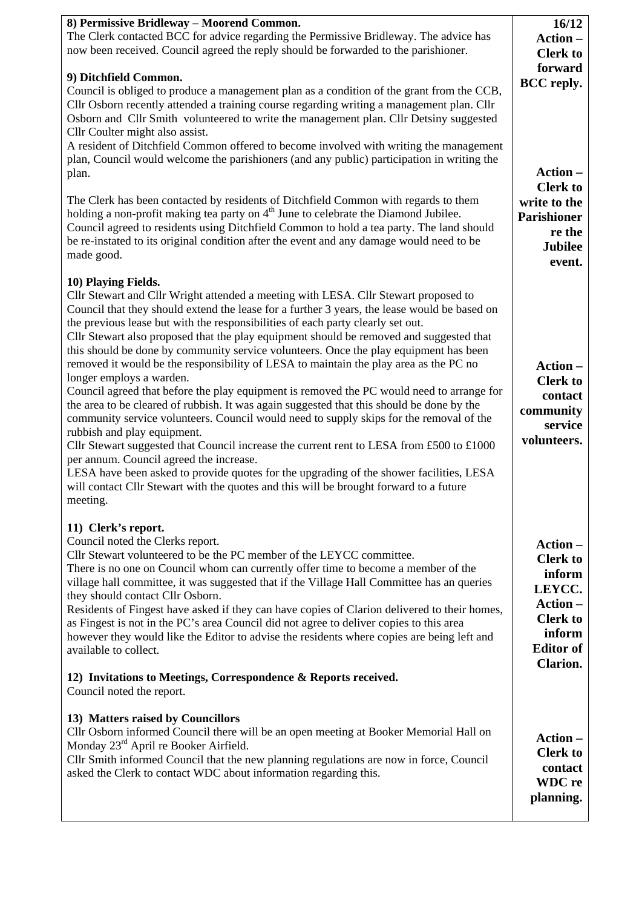| 8) Permissive Bridleway - Moorend Common.<br>The Clerk contacted BCC for advice regarding the Permissive Bridleway. The advice has<br>now been received. Council agreed the reply should be forwarded to the parishioner.<br>9) Ditchfield Common.                                                                                                                                                                                                                                                                                                                                                                                                                                                                                                                                                                                                                                                                                                                                                                                                                                                                                                                                                                                                                 | 16/12<br>Action-<br><b>Clerk</b> to<br>forward                                                                                |
|--------------------------------------------------------------------------------------------------------------------------------------------------------------------------------------------------------------------------------------------------------------------------------------------------------------------------------------------------------------------------------------------------------------------------------------------------------------------------------------------------------------------------------------------------------------------------------------------------------------------------------------------------------------------------------------------------------------------------------------------------------------------------------------------------------------------------------------------------------------------------------------------------------------------------------------------------------------------------------------------------------------------------------------------------------------------------------------------------------------------------------------------------------------------------------------------------------------------------------------------------------------------|-------------------------------------------------------------------------------------------------------------------------------|
| Council is obliged to produce a management plan as a condition of the grant from the CCB,<br>Cllr Osborn recently attended a training course regarding writing a management plan. Cllr<br>Osborn and Cllr Smith volunteered to write the management plan. Cllr Detsiny suggested<br>Cllr Coulter might also assist.<br>A resident of Ditchfield Common offered to become involved with writing the management<br>plan, Council would welcome the parishioners (and any public) participation in writing the<br>plan.<br>The Clerk has been contacted by residents of Ditchfield Common with regards to them<br>holding a non-profit making tea party on 4 <sup>th</sup> June to celebrate the Diamond Jubilee.<br>Council agreed to residents using Ditchfield Common to hold a tea party. The land should<br>be re-instated to its original condition after the event and any damage would need to be<br>made good.                                                                                                                                                                                                                                                                                                                                               | <b>BCC</b> reply.<br>Action-<br><b>Clerk to</b><br>write to the<br><b>Parishioner</b><br>re the<br><b>Jubilee</b>             |
| 10) Playing Fields.<br>Cllr Stewart and Cllr Wright attended a meeting with LESA. Cllr Stewart proposed to<br>Council that they should extend the lease for a further 3 years, the lease would be based on<br>the previous lease but with the responsibilities of each party clearly set out.<br>Cllr Stewart also proposed that the play equipment should be removed and suggested that<br>this should be done by community service volunteers. Once the play equipment has been<br>removed it would be the responsibility of LESA to maintain the play area as the PC no<br>longer employs a warden.<br>Council agreed that before the play equipment is removed the PC would need to arrange for<br>the area to be cleared of rubbish. It was again suggested that this should be done by the<br>community service volunteers. Council would need to supply skips for the removal of the<br>rubbish and play equipment.<br>Cllr Stewart suggested that Council increase the current rent to LESA from £500 to £1000<br>per annum. Council agreed the increase.<br>LESA have been asked to provide quotes for the upgrading of the shower facilities, LESA<br>will contact Cllr Stewart with the quotes and this will be brought forward to a future<br>meeting. | event.<br>Action-<br><b>Clerk to</b><br>contact<br>community<br>service<br>volunteers.                                        |
| 11) Clerk's report.<br>Council noted the Clerks report.<br>Cllr Stewart volunteered to be the PC member of the LEYCC committee.<br>There is no one on Council whom can currently offer time to become a member of the<br>village hall committee, it was suggested that if the Village Hall Committee has an queries<br>they should contact Cllr Osborn.<br>Residents of Fingest have asked if they can have copies of Clarion delivered to their homes,<br>as Fingest is not in the PC's area Council did not agree to deliver copies to this area<br>however they would like the Editor to advise the residents where copies are being left and<br>available to collect.<br>12) Invitations to Meetings, Correspondence & Reports received.                                                                                                                                                                                                                                                                                                                                                                                                                                                                                                                       | Action-<br><b>Clerk to</b><br>inform<br>LEYCC.<br>Action-<br><b>Clerk</b> to<br>inform<br><b>Editor</b> of<br><b>Clarion.</b> |
| Council noted the report.<br>13) Matters raised by Councillors<br>Cllr Osborn informed Council there will be an open meeting at Booker Memorial Hall on<br>Monday 23rd April re Booker Airfield.<br>Cllr Smith informed Council that the new planning regulations are now in force, Council<br>asked the Clerk to contact WDC about information regarding this.                                                                                                                                                                                                                                                                                                                                                                                                                                                                                                                                                                                                                                                                                                                                                                                                                                                                                                    | Action-<br><b>Clerk to</b><br>contact<br><b>WDC</b> re<br>planning.                                                           |